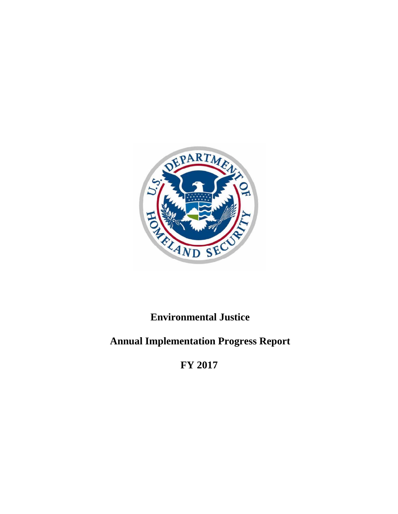

# **Environmental Justice**

# **Annual Implementation Progress Report**

**FY 2017**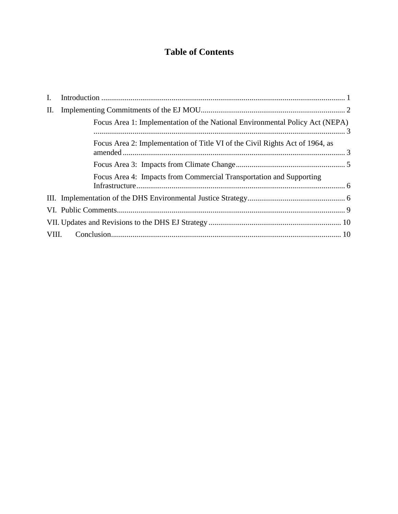# **Table of Contents**

| $\mathbf{I}$ . |                                                                              |
|----------------|------------------------------------------------------------------------------|
| П.             |                                                                              |
|                | Focus Area 1: Implementation of the National Environmental Policy Act (NEPA) |
|                | Focus Area 2: Implementation of Title VI of the Civil Rights Act of 1964, as |
|                |                                                                              |
|                | Focus Area 4: Impacts from Commercial Transportation and Supporting          |
|                |                                                                              |
|                |                                                                              |
|                |                                                                              |
| VIII.          |                                                                              |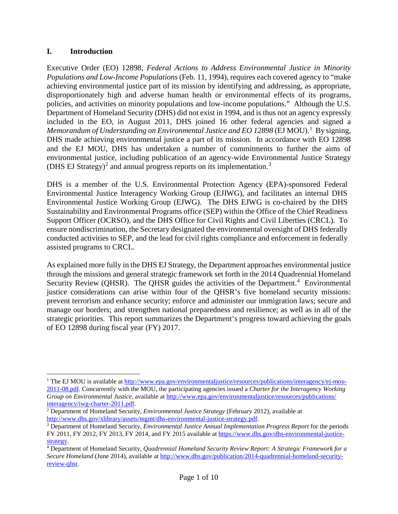#### <span id="page-2-0"></span>**I. Introduction**

Executive Order (EO) 12898, *Federal Actions to Address Environmental Justice in Minority Populations and Low-Income Populations* (Feb. 11, 1994), requires each covered agency to "make achieving environmental justice part of its mission by identifying and addressing, as appropriate, disproportionately high and adverse human health or environmental effects of its programs, policies, and activities on minority populations and low-income populations." Although the U.S. Department of Homeland Security (DHS) did not exist in 1994, and is thus not an agency expressly included in the EO, in August 2011, DHS joined 16 other federal agencies and signed a *Memorandum of Understanding on Environmental Justice and EO 12898* (EJ MOU). [1](#page-2-1) By signing, DHS made achieving environmental justice a part of its mission. In accordance with EO 12898 and the EJ MOU, DHS has undertaken a number of commitments to further the aims of environmental justice, including publication of an agency-wide Environmental Justice Strategy (DHS EJ Strategy)<sup>[2](#page-2-2)</sup> and annual progress reports on its implementation.<sup>[3](#page-2-3)</sup>

DHS is a member of the U.S. Environmental Protection Agency (EPA)-sponsored Federal Environmental Justice Interagency Working Group (EJIWG), and facilitates an internal DHS Environmental Justice Working Group (EJWG). The DHS EJWG is co-chaired by the DHS Sustainability and Environmental Programs office (SEP) within the Office of the Chief Readiness Support Officer (OCRSO), and the DHS Office for Civil Rights and Civil Liberties (CRCL). To ensure nondiscrimination, the Secretary designated the environmental oversight of DHS federally conducted activities to SEP, and the lead for civil rights compliance and enforcement in federally assisted programs to CRCL.

As explained more fully in the DHS EJ Strategy, the Department approaches environmental justice through the missions and general strategic framework set forth in the 2014 Quadrennial Homeland Security Review (QHSR). The QHSR guides the activities of the Department.<sup>[4](#page-2-4)</sup> Environmental justice considerations can arise within four of the QHSR's five homeland security missions: prevent terrorism and enhance security; enforce and administer our immigration laws; secure and manage our borders; and strengthen national preparedness and resilience; as well as in all of the strategic priorities. This report summarizes the Department's progress toward achieving the goals of EO 12898 during fiscal year (FY) 2017.

<span id="page-2-1"></span><sup>&</sup>lt;sup>1</sup> The EJ MOU is available a[t http://www.epa.gov/environmentaljustice/resources/publications/interagency/ej-mou-](http://www.epa.gov/environmentaljustice/resources/publications/interagency/ej-mou-2011-08.pdf)[2011-08.pdf.](http://www.epa.gov/environmentaljustice/resources/publications/interagency/ej-mou-2011-08.pdf) Concurrently with the MOU, the participating agencies issued a *Charter for the Interagency Working Group on Environmental Justice*, available at <u>http://www.epa.gov/environmentaljustice/resources/publications/</u><br>interagency/iwg-charter-2011.pdf.

<span id="page-2-2"></span><sup>&</sup>lt;sup>2</sup> Department of Homeland Security, *Environmental Justice Strategy* (February 2012), available at [http://www.dhs.gov/xlibrary/assets/mgmt/dhs-environmental-justice-strategy.pdf.](http://www.dhs.gov/xlibrary/assets/mgmt/dhs-environmental-justice-strategy.pdf)<br><sup>3</sup> Department of Homeland Security, *Environmental Justice Annual Implementation Progress Report* for the periods

<span id="page-2-3"></span>FY 2011, FY 2012, FY 2013, FY 2014, and FY 2015 available at [https://www.dhs.gov/dhs-environmental-justice](https://www.dhs.gov/dhs-environmental-justice-strategy)[strategy.](https://www.dhs.gov/dhs-environmental-justice-strategy)

<span id="page-2-4"></span><sup>4</sup> Department of Homeland Security, *Quadrennial Homeland Security Review Report: A Strategic Framework for a Secure Homeland* (June 2014), available at [http://www.dhs.gov/publication/2014-quadrennial-homeland-security](http://www.dhs.gov/publication/2014-quadrennial-homeland-security-review-qhsr)[review-qhsr.](http://www.dhs.gov/publication/2014-quadrennial-homeland-security-review-qhsr)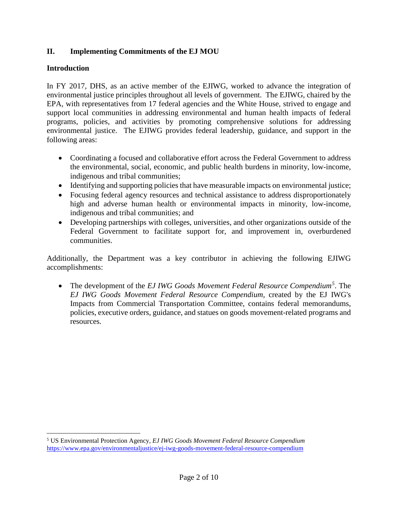# <span id="page-3-0"></span>**II. Implementing Commitments of the EJ MOU**

### **Introduction**

In FY 2017, DHS, as an active member of the EJIWG, worked to advance the integration of environmental justice principles throughout all levels of government. The EJIWG, chaired by the EPA, with representatives from 17 federal agencies and the White House, strived to engage and support local communities in addressing environmental and human health impacts of federal programs, policies, and activities by promoting comprehensive solutions for addressing environmental justice. The EJIWG provides federal leadership, guidance, and support in the following areas:

- Coordinating a focused and collaborative effort across the Federal Government to address the environmental, social, economic, and public health burdens in minority, low-income, indigenous and tribal communities;
- Identifying and supporting policies that have measurable impacts on environmental justice;
- Focusing federal agency resources and technical assistance to address disproportionately high and adverse human health or environmental impacts in minority, low-income, indigenous and tribal communities; and
- Developing partnerships with colleges, universities, and other organizations outside of the Federal Government to facilitate support for, and improvement in, overburdened communities.

Additionally, the Department was a key contributor in achieving the following EJIWG accomplishments:

• The development of the *EJ IWG Goods Movement Federal Resource Compendium[5](#page-3-1)* . The *EJ IWG Goods Movement Federal Resource Compendium,* created by the EJ IWG's Impacts from Commercial Transportation Committee, contains federal memorandums, policies, executive orders, guidance, and statues on goods movement-related programs and resources.

<span id="page-3-1"></span> <sup>5</sup> US Environmental Protection Agency, *EJ IWG Goods Movement Federal Resource Compendium* <https://www.epa.gov/environmentaljustice/ej-iwg-goods-movement-federal-resource-compendium>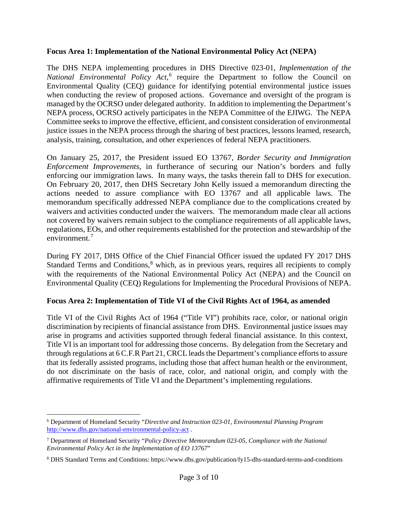#### <span id="page-4-0"></span>**Focus Area 1: Implementation of the National Environmental Policy Act (NEPA)**

The DHS NEPA implementing procedures in DHS Directive 023-01, *Implementation of the*  National Environmental Policy Act,<sup>[6](#page-4-2)</sup> require the Department to follow the Council on Environmental Quality (CEQ) guidance for identifying potential environmental justice issues when conducting the review of proposed actions. Governance and oversight of the program is managed by the OCRSO under delegated authority. In addition to implementing the Department's NEPA process, OCRSO actively participates in the NEPA Committee of the EJIWG. The NEPA Committee seeks to improve the effective, efficient, and consistent consideration of environmental justice issues in the NEPA process through the sharing of best practices, lessons learned, research, analysis, training, consultation, and other experiences of federal NEPA practitioners.

On January 25, 2017, the President issued EO 13767, *Border Security and Immigration Enforcement Improvements,* in furtherance of securing our Nation's borders and fully enforcing our immigration laws. In many ways, the tasks therein fall to DHS for execution. On February 20, 2017, then DHS Secretary John Kelly issued a memorandum directing the actions needed to assure compliance with EO 13767 and all applicable laws. The memorandum specifically addressed NEPA compliance due to the complications created by waivers and activities conducted under the waivers. The memorandum made clear all actions not covered by waivers remain subject to the compliance requirements of all applicable laws, regulations, EOs, and other requirements established for the protection and stewardship of the environment.<sup>[7](#page-4-3)</sup>

During FY 2017, DHS Office of the Chief Financial Officer issued the updated FY 2017 DHS Standard Terms and Conditions,<sup>[8](#page-4-4)</sup> which, as in previous years, requires all recipients to comply with the requirements of the National Environmental Policy Act (NEPA) and the Council on Environmental Quality (CEQ) Regulations for Implementing the Procedural Provisions of NEPA.

#### <span id="page-4-1"></span>**Focus Area 2: Implementation of Title VI of the Civil Rights Act of 1964, as amended**

Title VI of the Civil Rights Act of 1964 ("Title VI") prohibits race, color, or national origin discrimination by recipients of financial assistance from DHS. Environmental justice issues may arise in programs and activities supported through federal financial assistance. In this context, Title VI is an important tool for addressing those concerns. By delegation from the Secretary and through regulations at  $6$  C.F.R Part 21, CRCL leads the Department's compliance efforts to assure that its federally assisted programs, including those that affect human health or the environment, do not discriminate on the basis of race, color, and national origin, and comply with the affirmative requirements of Title VI and the Department's implementing regulations.

<span id="page-4-2"></span> <sup>6</sup> Department of Homeland Security "*Directive and Instruction 023-01, Environmental Planning Program* <http://www.dhs.gov/national-environmental-policy-act> .

<span id="page-4-3"></span><sup>7</sup> Department of Homeland Security "*Policy Directive Memorandum 023-05, Compliance with the National Environmental Policy Act in the Implementation of EO 13767*"

<span id="page-4-4"></span><sup>8</sup> DHS Standard Terms and Conditions: https://www.dhs.gov/publication/fy15-dhs-standard-terms-and-conditions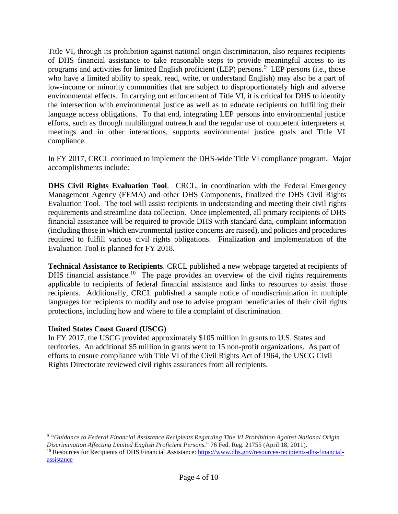Title VI, through its prohibition against national origin discrimination, also requires recipients of DHS financial assistance to take reasonable steps to provide meaningful access to its programs and activities for limited English proficient (LEP) persons.<sup>[9](#page-5-0)</sup> LEP persons (i.e., those who have a limited ability to speak, read, write, or understand English) may also be a part of low-income or minority communities that are subject to disproportionately high and adverse environmental effects. In carrying out enforcement of Title VI, it is critical for DHS to identify the intersection with environmental justice as well as to educate recipients on fulfilling their language access obligations. To that end, integrating LEP persons into environmental justice efforts, such as through multilingual outreach and the regular use of competent interpreters at meetings and in other interactions, supports environmental justice goals and Title VI compliance.

In FY 2017, CRCL continued to implement the DHS-wide Title VI compliance program. Major accomplishments include:

**DHS Civil Rights Evaluation Tool**. CRCL, in coordination with the Federal Emergency Management Agency (FEMA) and other DHS Components, finalized the DHS Civil Rights Evaluation Tool. The tool will assist recipients in understanding and meeting their civil rights requirements and streamline data collection. Once implemented, all primary recipients of DHS financial assistance will be required to provide DHS with standard data, complaint information (including those in which environmental justice concerns are raised), and policies and procedures required to fulfill various civil rights obligations. Finalization and implementation of the Evaluation Tool is planned for FY 2018.

**Technical Assistance to Recipients**. CRCL published a new webpage targeted at recipients of DHS financial assistance.<sup>10</sup> The page provides an overview of the civil rights requirements applicable to recipients of federal financial assistance and links to resources to assist those recipients. Additionally, CRCL published a sample notice of nondiscrimination in multiple languages for recipients to modify and use to advise program beneficiaries of their civil rights protections, including how and where to file a complaint of discrimination.

# **United States Coast Guard (USCG)**

In FY 2017, the USCG provided approximately \$105 million in grants to U.S. States and territories. An additional \$5 million in grants went to 15 non-profit organizations. As part of efforts to ensure compliance with Title VI of the Civil Rights Act of 1964, the USCG Civil Rights Directorate reviewed civil rights assurances from all recipients.

<span id="page-5-0"></span> 9 *"Guidance to Federal Financial Assistance Recipients Regarding Title VI Prohibition Against National Origin Discrimination Affecting Limited English Proficient Persons.*" 76 Fed. Reg. 21755 (April 18, 2011).

<span id="page-5-1"></span><sup>10</sup> Resources for Recipients of DHS Financial Assistance: [https://www.dhs.gov/resources-recipients-dhs-financial](https://www.dhs.gov/resources-recipients-dhs-financial-assistance)[assistance](https://www.dhs.gov/resources-recipients-dhs-financial-assistance)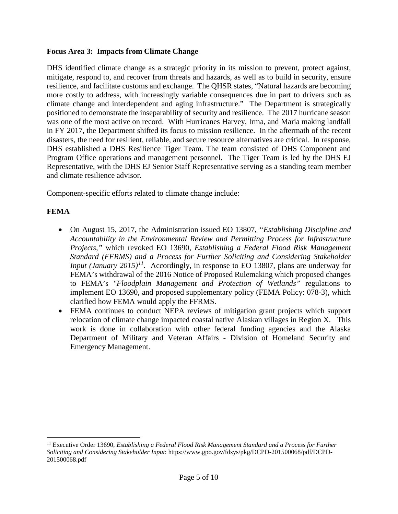#### <span id="page-6-0"></span>**Focus Area 3: Impacts from Climate Change**

DHS identified climate change as a strategic priority in its mission to prevent, protect against, mitigate, respond to, and recover from threats and hazards, as well as to build in security, ensure resilience, and facilitate customs and exchange. The QHSR states, "Natural hazards are becoming more costly to address, with increasingly variable consequences due in part to drivers such as climate change and interdependent and aging infrastructure." The Department is strategically positioned to demonstrate the inseparability of security and resilience. The 2017 hurricane season was one of the most active on record. With Hurricanes Harvey, Irma, and Maria making landfall in FY 2017, the Department shifted its focus to mission resilience. In the aftermath of the recent disasters, the need for resilient, reliable, and secure resource alternatives are critical. In response, DHS established a DHS Resilience Tiger Team. The team consisted of DHS Component and Program Office operations and management personnel. The Tiger Team is led by the DHS EJ Representative, with the DHS EJ Senior Staff Representative serving as a standing team member and climate resilience advisor.

Component-specific efforts related to climate change include:

#### **FEMA**

- On August 15, 2017, the Administration issued EO 13807, *"Establishing Discipline and Accountability in the Environmental Review and Permitting Process for Infrastructure Projects,"* which revoked EO 13690, *Establishing a Federal Flood Risk Management Standard (FFRMS) and a Process for Further Soliciting and Considering Stakeholder Input (January 2015)<sup>[11](#page-6-1)</sup>*. Accordingly, in response to EO 13807, plans are underway for FEMA's withdrawal of the 2016 Notice of Proposed Rulemaking which proposed changes to FEMA's *"Floodplain Management and Protection of Wetlands"* regulations to implement EO 13690, and proposed supplementary policy (FEMA Policy: 078-3), which clarified how FEMA would apply the FFRMS.
- FEMA continues to conduct NEPA reviews of mitigation grant projects which support relocation of climate change impacted coastal native Alaskan villages in Region X. This work is done in collaboration with other federal funding agencies and the Alaska Department of Military and Veteran Affairs - Division of Homeland Security and Emergency Management.

<span id="page-6-1"></span> <sup>11</sup> Executive Order 13690, *Establishing a Federal Flood Risk Management Standard and a Process for Further Soliciting and Considering Stakeholder Input*: https://www.gpo.gov/fdsys/pkg/DCPD-201500068/pdf/DCPD-201500068.pdf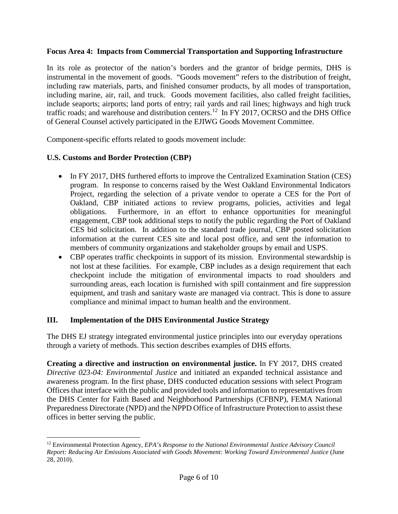#### <span id="page-7-0"></span>**Focus Area 4: Impacts from Commercial Transportation and Supporting Infrastructure**

In its role as protector of the nation's borders and the grantor of bridge permits, DHS is instrumental in the movement of goods. "Goods movement" refers to the distribution of freight, including raw materials, parts, and finished consumer products, by all modes of transportation, including marine, air, rail, and truck. Goods movement facilities, also called freight facilities, include seaports; airports; land ports of entry; rail yards and rail lines; highways and high truck traffic roads; and warehouse and distribution centers.[12](#page-7-2) In FY 2017, OCRSO and the DHS Office of General Counsel actively participated in the EJIWG Goods Movement Committee.

Component-specific efforts related to goods movement include:

# **U.S. Customs and Border Protection (CBP)**

- In FY 2017, DHS furthered efforts to improve the Centralized Examination Station (CES) program. In response to concerns raised by the West Oakland Environmental Indicators Project, regarding the selection of a private vendor to operate a CES for the Port of Oakland, CBP initiated actions to review programs, policies, activities and legal obligations. Furthermore, in an effort to enhance opportunities for meaningful engagement, CBP took additional steps to notify the public regarding the Port of Oakland CES bid solicitation. In addition to the standard trade journal, CBP posted solicitation information at the current CES site and local post office, and sent the information to members of community organizations and stakeholder groups by email and USPS.
- CBP operates traffic checkpoints in support of its mission. Environmental stewardship is not lost at these facilities. For example, CBP includes as a design requirement that each checkpoint include the mitigation of environmental impacts to road shoulders and surrounding areas, each location is furnished with spill containment and fire suppression equipment, and trash and sanitary waste are managed via contract. This is done to assure compliance and minimal impact to human health and the environment.

# <span id="page-7-1"></span>**III. Implementation of the DHS Environmental Justice Strategy**

The DHS EJ strategy integrated environmental justice principles into our everyday operations through a variety of methods. This section describes examples of DHS efforts.

**Creating a directive and instruction on environmental justice.** In FY 2017, DHS created *Directive 023-04: Environmental Justice* and initiated an expanded technical assistance and awareness program. In the first phase, DHS conducted education sessions with select Program Offices that interface with the public and provided tools and information to representatives from the DHS Center for Faith Based and Neighborhood Partnerships (CFBNP), FEMA National Preparedness Directorate (NPD) and the NPPD Office of Infrastructure Protection to assist these offices in better serving the public.

<span id="page-7-2"></span> <sup>12</sup> Environmental Protection Agency, *EPA's Response to the National Environmental Justice Advisory Council Report: Reducing Air Emissions Associated with Goods Movement: Working Toward Environmental Justice* (June 28, 2010).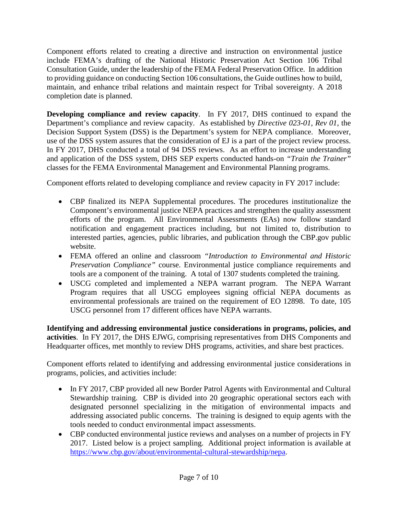Component efforts related to creating a directive and instruction on environmental justice include FEMA's drafting of the National Historic Preservation Act Section 106 Tribal Consultation Guide, under the leadership of the FEMA Federal Preservation Office. In addition to providing guidance on conducting Section 106 consultations, the Guide outlines how to build, maintain, and enhance tribal relations and maintain respect for Tribal sovereignty. A 2018 completion date is planned.

**Developing compliance and review capacity**. In FY 2017, DHS continued to expand the Department's compliance and review capacity. As established by *Directive 023-01, Rev 01*, the Decision Support System (DSS) is the Department's system for NEPA compliance. Moreover, use of the DSS system assures that the consideration of EJ is a part of the project review process. In FY 2017, DHS conducted a total of 94 DSS reviews. As an effort to increase understanding and application of the DSS system, DHS SEP experts conducted hands-on *"Train the Trainer"* classes for the FEMA Environmental Management and Environmental Planning programs.

Component efforts related to developing compliance and review capacity in FY 2017 include:

- CBP finalized its NEPA Supplemental procedures. The procedures institutionalize the Component's environmental justice NEPA practices and strengthen the quality assessment efforts of the program. All Environmental Assessments (EAs) now follow standard notification and engagement practices including, but not limited to, distribution to interested parties, agencies, public libraries, and publication through the CBP.gov public website.
- FEMA offered an online and classroom *"Introduction to Environmental and Historic Preservation Compliance"* course. Environmental justice compliance requirements and tools are a component of the training. A total of 1307 students completed the training.
- USCG completed and implemented a NEPA warrant program. The NEPA Warrant Program requires that all USCG employees signing official NEPA documents as environmental professionals are trained on the requirement of EO 12898. To date, 105 USCG personnel from 17 different offices have NEPA warrants.

**Identifying and addressing environmental justice considerations in programs, policies, and activities**. In FY 2017, the DHS EJWG, comprising representatives from DHS Components and Headquarter offices, met monthly to review DHS programs, activities, and share best practices.

Component efforts related to identifying and addressing environmental justice considerations in programs, policies, and activities include:

- In FY 2017, CBP provided all new Border Patrol Agents with Environmental and Cultural Stewardship training. CBP is divided into 20 geographic operational sectors each with designated personnel specializing in the mitigation of environmental impacts and addressing associated public concerns. The training is designed to equip agents with the tools needed to conduct environmental impact assessments.
- CBP conducted environmental justice reviews and analyses on a number of projects in FY 2017. Listed below is a project sampling. Additional project information is available at [https://www.cbp.gov/about/environmental-cultural-stewardship/nepa.](https://www.cbp.gov/about/environmental-cultural-stewardship/nepa)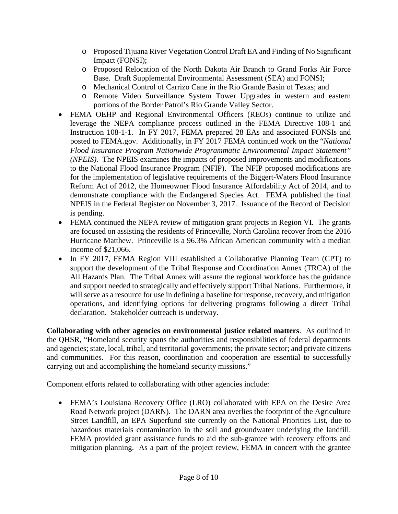- o Proposed Tijuana River Vegetation Control Draft EA and Finding of No Significant Impact (FONSI);
- o Proposed Relocation of the North Dakota Air Branch to Grand Forks Air Force Base. Draft Supplemental Environmental Assessment (SEA) and FONSI;
- o Mechanical Control of Carrizo Cane in the Rio Grande Basin of Texas; and
- o Remote Video Surveillance System Tower Upgrades in western and eastern portions of the Border Patrol's Rio Grande Valley Sector.
- FEMA OEHP and Regional Environmental Officers (REOs) continue to utilize and leverage the NEPA compliance process outlined in the FEMA Directive 108-1 and Instruction 108-1-1. In FY 2017, FEMA prepared 28 EAs and associated FONSIs and posted to FEMA.gov. Additionally, in FY 2017 FEMA continued work on the "*National Flood Insurance Program Nationwide Programmatic Environmental Impact Statement" (NPEIS).* The NPEIS examines the impacts of proposed improvements and modifications to the National Flood Insurance Program (NFIP). The NFIP proposed modifications are for the implementation of legislative requirements of the Biggert-Waters Flood Insurance Reform Act of 2012, the Homeowner Flood Insurance Affordability Act of 2014, and to demonstrate compliance with the Endangered Species Act. FEMA published the final NPEIS in the Federal Register on November 3, 2017. Issuance of the Record of Decision is pending.
- FEMA continued the NEPA review of mitigation grant projects in Region VI. The grants are focused on assisting the residents of Princeville, North Carolina recover from the 2016 Hurricane Matthew. Princeville is a 96.3% African American community with a median income of \$21,066.
- In FY 2017, FEMA Region VIII established a Collaborative Planning Team (CPT) to support the development of the Tribal Response and Coordination Annex (TRCA) of the All Hazards Plan. The Tribal Annex will assure the regional workforce has the guidance and support needed to strategically and effectively support Tribal Nations. Furthermore, it will serve as a resource for use in defining a baseline for response, recovery, and mitigation operations, and identifying options for delivering programs following a direct Tribal declaration. Stakeholder outreach is underway.

**Collaborating with other agencies on environmental justice related matters**. As outlined in the QHSR, "Homeland security spans the authorities and responsibilities of federal departments and agencies; state, local, tribal, and territorial governments; the private sector; and private citizens and communities. For this reason, coordination and cooperation are essential to successfully carrying out and accomplishing the homeland security missions."

Component efforts related to collaborating with other agencies include:

• FEMA's Louisiana Recovery Office (LRO) collaborated with EPA on the Desire Area Road Network project (DARN). The DARN area overlies the footprint of the Agriculture Street Landfill, an EPA Superfund site currently on the National Priorities List, due to hazardous materials contamination in the soil and groundwater underlying the landfill. FEMA provided grant assistance funds to aid the sub-grantee with recovery efforts and mitigation planning. As a part of the project review, FEMA in concert with the grantee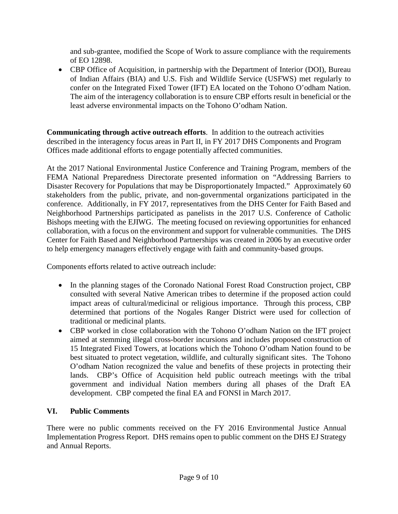and sub-grantee, modified the Scope of Work to assure compliance with the requirements of EO 12898.

• CBP Office of Acquisition, in partnership with the Department of Interior (DOI), Bureau of Indian Affairs (BIA) and U.S. Fish and Wildlife Service (USFWS) met regularly to confer on the Integrated Fixed Tower (IFT) EA located on the Tohono O'odham Nation. The aim of the interagency collaboration is to ensure CBP efforts result in beneficial or the least adverse environmental impacts on the Tohono O'odham Nation.

**Communicating through active outreach efforts**. In addition to the outreach activities described in the interagency focus areas in Part II, in FY 2017 DHS Components and Program Offices made additional efforts to engage potentially affected communities.

At the 2017 National Environmental Justice Conference and Training Program, members of the FEMA National Preparedness Directorate presented information on "Addressing Barriers to Disaster Recovery for Populations that may be Disproportionately Impacted." Approximately 60 stakeholders from the public, private, and non-governmental organizations participated in the conference. Additionally, in FY 2017, representatives from the DHS Center for Faith Based and Neighborhood Partnerships participated as panelists in the 2017 U.S. Conference of Catholic Bishops meeting with the EJIWG. The meeting focused on reviewing opportunities for enhanced collaboration, with a focus on the environment and support for vulnerable communities. The DHS Center for Faith Based and Neighborhood Partnerships was created in 2006 by an executive order to help emergency managers effectively engage with faith and community-based groups.

Components efforts related to active outreach include:

- In the planning stages of the Coronado National Forest Road Construction project, CBP consulted with several Native American tribes to determine if the proposed action could impact areas of cultural/medicinal or religious importance. Through this process, CBP determined that portions of the Nogales Ranger District were used for collection of traditional or medicinal plants.
- CBP worked in close collaboration with the Tohono O'odham Nation on the IFT project aimed at stemming illegal cross-border incursions and includes proposed construction of 15 Integrated Fixed Towers, at locations which the Tohono O'odham Nation found to be best situated to protect vegetation, wildlife, and culturally significant sites. The Tohono O'odham Nation recognized the value and benefits of these projects in protecting their lands. CBP's Office of Acquisition held public outreach meetings with the tribal government and individual Nation members during all phases of the Draft EA development. CBP competed the final EA and FONSI in March 2017.

# <span id="page-10-0"></span>**VI. Public Comments**

There were no public comments received on the FY 2016 Environmental Justice Annual Implementation Progress Report. DHS remains open to public comment on the DHS EJ Strategy and Annual Reports.